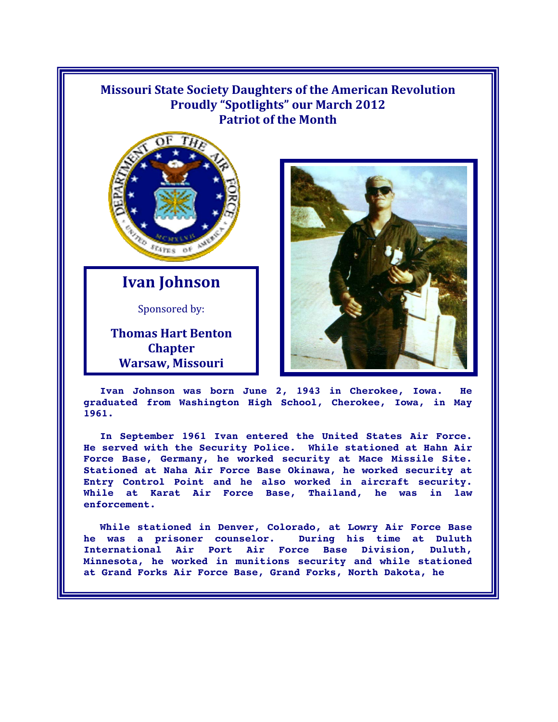## **Missouri State Society Daughters of the American Revolution Proudly "Spotlights" our March 2012 Patriot of the Month**



**Ivan Johnson** 

Sponsored by:

**Thomas Hart Benton Chapter Warsaw, Missouri** 



**Ivan Johnson was born June 2, 1943 in Cherokee, Iowa. He graduated from Washington High School, Cherokee, Iowa, in May 1961.** 

**In September 1961 Ivan entered the United States Air Force. He served with the Security Police. While stationed at Hahn Air Force Base, Germany, he worked security at Mace Missile Site. Stationed at Naha Air Force Base Okinawa, he worked security at Entry Control Point and he also worked in aircraft security. While at Karat Air Force Base, Thailand, he was in law enforcement.** 

**While stationed in Denver, Colorado, at Lowry Air Force Base he was a prisoner counselor. During his time at Duluth International Air Port Air Force Base Division, Duluth, Minnesota, he worked in munitions security and while stationed at Grand Forks Air Force Base, Grand Forks, North Dakota, he**